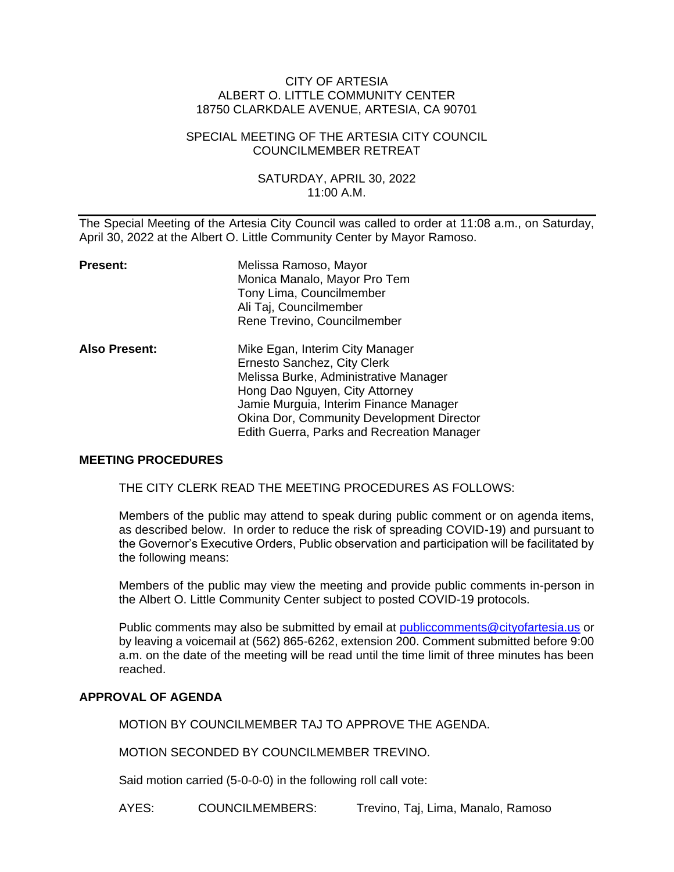#### CITY OF ARTESIA ALBERT O. LITTLE COMMUNITY CENTER 18750 CLARKDALE AVENUE, ARTESIA, CA 90701

### SPECIAL MEETING OF THE ARTESIA CITY COUNCIL COUNCILMEMBER RETREAT

## SATURDAY, APRIL 30, 2022 11:00 A.M.

The Special Meeting of the Artesia City Council was called to order at 11:08 a.m., on Saturday, April 30, 2022 at the Albert O. Little Community Center by Mayor Ramoso.

| <b>Present:</b>      | Melissa Ramoso, Mayor<br>Monica Manalo, Mayor Pro Tem<br>Tony Lima, Councilmember<br>Ali Taj, Councilmember<br>Rene Trevino, Councilmember                                                                                                                                            |
|----------------------|---------------------------------------------------------------------------------------------------------------------------------------------------------------------------------------------------------------------------------------------------------------------------------------|
| <b>Also Present:</b> | Mike Egan, Interim City Manager<br>Ernesto Sanchez, City Clerk<br>Melissa Burke, Administrative Manager<br>Hong Dao Nguyen, City Attorney<br>Jamie Murguia, Interim Finance Manager<br><b>Okina Dor, Community Development Director</b><br>Edith Guerra, Parks and Recreation Manager |

#### **MEETING PROCEDURES**

THE CITY CLERK READ THE MEETING PROCEDURES AS FOLLOWS:

Members of the public may attend to speak during public comment or on agenda items, as described below. In order to reduce the risk of spreading COVID-19) and pursuant to the Governor's Executive Orders, Public observation and participation will be facilitated by the following means:

Members of the public may view the meeting and provide public comments in-person in the Albert O. Little Community Center subject to posted COVID-19 protocols.

Public comments may also be submitted by email at [publiccomments@cityofartesia.us](mailto:publiccomments@cityofartesia.us) or by leaving a voicemail at (562) 865-6262, extension 200. Comment submitted before 9:00 a.m. on the date of the meeting will be read until the time limit of three minutes has been reached.

## **APPROVAL OF AGENDA**

MOTION BY COUNCILMEMBER TAJ TO APPROVE THE AGENDA.

MOTION SECONDED BY COUNCILMEMBER TREVINO.

Said motion carried (5-0-0-0) in the following roll call vote:

AYES: COUNCILMEMBERS: Trevino, Taj, Lima, Manalo, Ramoso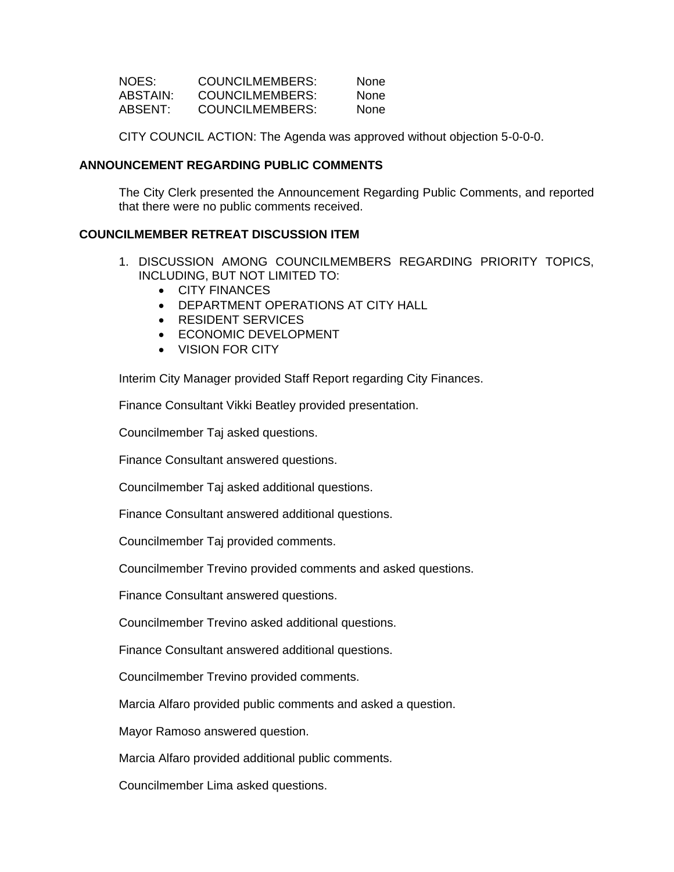| NOES:    | COUNCILMEMBERS: | None.       |
|----------|-----------------|-------------|
| ABSTAIN: | COUNCILMEMBERS: | <b>None</b> |
| ABSENT:  | COUNCILMEMBERS: | <b>None</b> |

CITY COUNCIL ACTION: The Agenda was approved without objection 5-0-0-0.

### **ANNOUNCEMENT REGARDING PUBLIC COMMENTS**

The City Clerk presented the Announcement Regarding Public Comments, and reported that there were no public comments received.

# **COUNCILMEMBER RETREAT DISCUSSION ITEM**

- 1. DISCUSSION AMONG COUNCILMEMBERS REGARDING PRIORITY TOPICS, INCLUDING, BUT NOT LIMITED TO:
	- CITY FINANCES
	- DEPARTMENT OPERATIONS AT CITY HALL
	- RESIDENT SERVICES
	- ECONOMIC DEVELOPMENT
	- VISION FOR CITY

Interim City Manager provided Staff Report regarding City Finances.

Finance Consultant Vikki Beatley provided presentation.

Councilmember Taj asked questions.

Finance Consultant answered questions.

Councilmember Taj asked additional questions.

Finance Consultant answered additional questions.

Councilmember Taj provided comments.

Councilmember Trevino provided comments and asked questions.

Finance Consultant answered questions.

Councilmember Trevino asked additional questions.

Finance Consultant answered additional questions.

Councilmember Trevino provided comments.

Marcia Alfaro provided public comments and asked a question.

Mayor Ramoso answered question.

Marcia Alfaro provided additional public comments.

Councilmember Lima asked questions.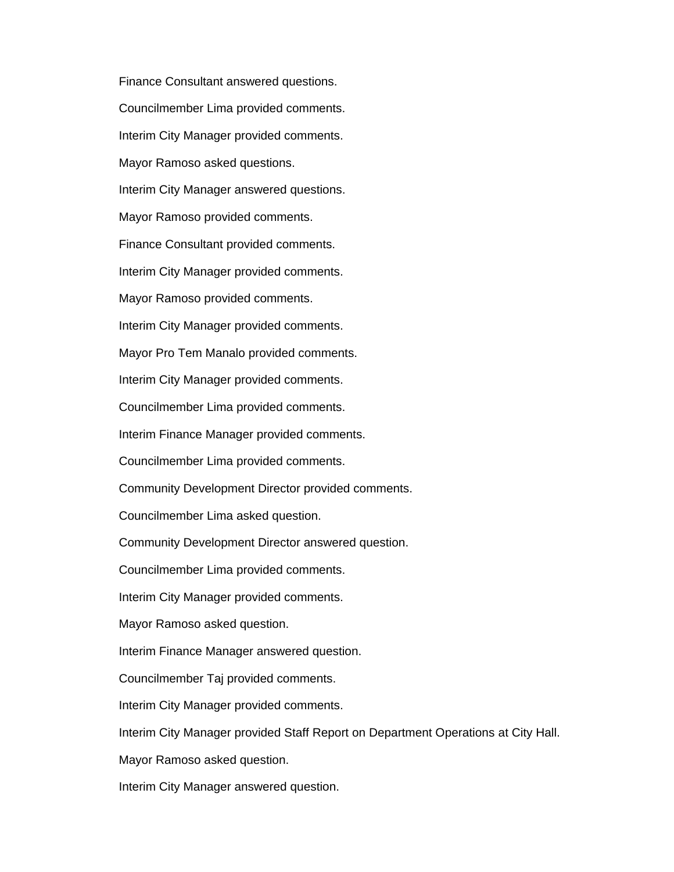Finance Consultant answered questions. Councilmember Lima provided comments. Interim City Manager provided comments. Mayor Ramoso asked questions. Interim City Manager answered questions. Mayor Ramoso provided comments. Finance Consultant provided comments. Interim City Manager provided comments. Mayor Ramoso provided comments. Interim City Manager provided comments. Mayor Pro Tem Manalo provided comments. Interim City Manager provided comments. Councilmember Lima provided comments. Interim Finance Manager provided comments. Councilmember Lima provided comments. Community Development Director provided comments. Councilmember Lima asked question. Community Development Director answered question. Councilmember Lima provided comments. Interim City Manager provided comments. Mayor Ramoso asked question. Interim Finance Manager answered question. Councilmember Taj provided comments. Interim City Manager provided comments. Interim City Manager provided Staff Report on Department Operations at City Hall. Mayor Ramoso asked question.

Interim City Manager answered question.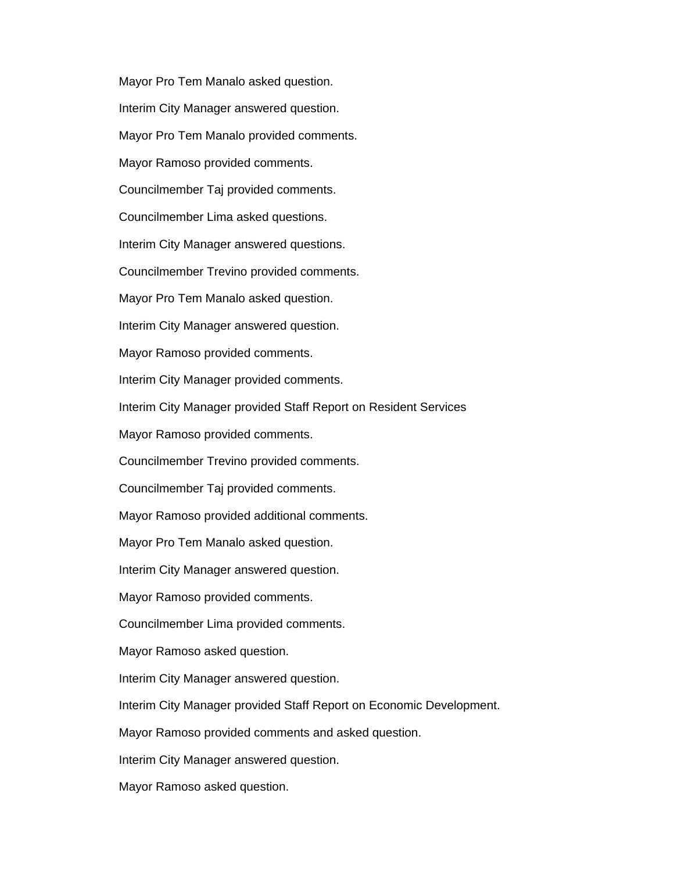Mayor Pro Tem Manalo asked question. Interim City Manager answered question. Mayor Pro Tem Manalo provided comments. Mayor Ramoso provided comments. Councilmember Taj provided comments. Councilmember Lima asked questions. Interim City Manager answered questions. Councilmember Trevino provided comments. Mayor Pro Tem Manalo asked question. Interim City Manager answered question. Mayor Ramoso provided comments. Interim City Manager provided comments. Interim City Manager provided Staff Report on Resident Services Mayor Ramoso provided comments. Councilmember Trevino provided comments. Councilmember Taj provided comments. Mayor Ramoso provided additional comments. Mayor Pro Tem Manalo asked question. Interim City Manager answered question. Mayor Ramoso provided comments. Councilmember Lima provided comments. Mayor Ramoso asked question. Interim City Manager answered question. Interim City Manager provided Staff Report on Economic Development. Mayor Ramoso provided comments and asked question. Interim City Manager answered question. Mayor Ramoso asked question.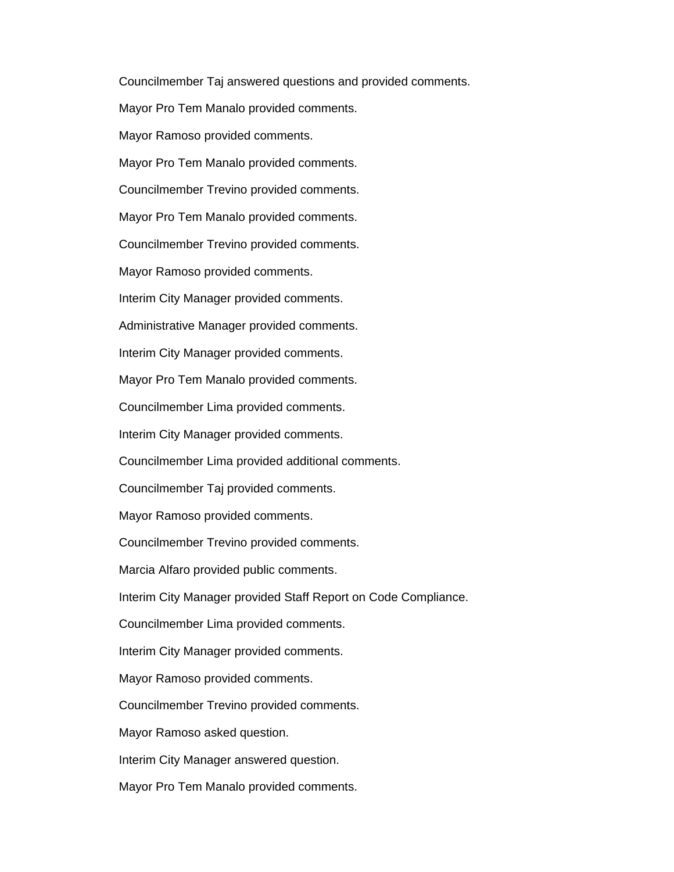Councilmember Taj answered questions and provided comments. Mayor Pro Tem Manalo provided comments. Mayor Ramoso provided comments. Mayor Pro Tem Manalo provided comments. Councilmember Trevino provided comments. Mayor Pro Tem Manalo provided comments. Councilmember Trevino provided comments. Mayor Ramoso provided comments. Interim City Manager provided comments. Administrative Manager provided comments. Interim City Manager provided comments. Mayor Pro Tem Manalo provided comments. Councilmember Lima provided comments. Interim City Manager provided comments. Councilmember Lima provided additional comments. Councilmember Taj provided comments. Mayor Ramoso provided comments. Councilmember Trevino provided comments. Marcia Alfaro provided public comments. Interim City Manager provided Staff Report on Code Compliance. Councilmember Lima provided comments. Interim City Manager provided comments. Mayor Ramoso provided comments. Councilmember Trevino provided comments. Mayor Ramoso asked question. Interim City Manager answered question. Mayor Pro Tem Manalo provided comments.